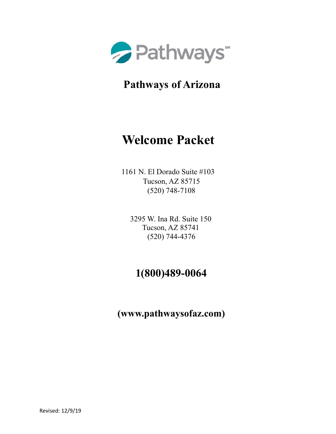

**Pathways of Arizona** 

# **Welcome Packet**

1161 N. El Dorado Suite #103 Tucson, AZ 85715 (520) 748-7108

3295 W. Ina Rd. Suite 150 Tucson, AZ 85741 (520) 744-4376

# **1(800)489-0064**

**(www.pathwaysofaz.com)**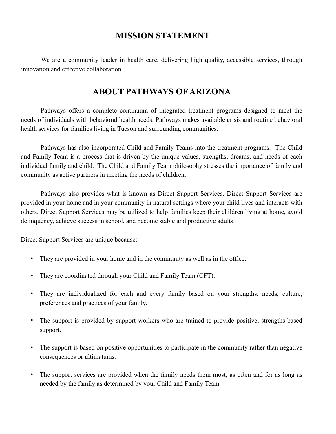### **MISSION STATEMENT**

We are a community leader in health care, delivering high quality, accessible services, through innovation and effective collaboration.

## **ABOUT PATHWAYS OF ARIZONA**

Pathways offers a complete continuum of integrated treatment programs designed to meet the needs of individuals with behavioral health needs. Pathways makes available crisis and routine behavioral health services for families living in Tucson and surrounding communities.

Pathways has also incorporated Child and Family Teams into the treatment programs. The Child and Family Team is a process that is driven by the unique values, strengths, dreams, and needs of each individual family and child. The Child and Family Team philosophy stresses the importance of family and community as active partners in meeting the needs of children.

Pathways also provides what is known as Direct Support Services. Direct Support Services are provided in your home and in your community in natural settings where your child lives and interacts with others. Direct Support Services may be utilized to help families keep their children living at home, avoid delinquency, achieve success in school, and become stable and productive adults.

Direct Support Services are unique because:

- They are provided in your home and in the community as well as in the office.
- They are coordinated through your Child and Family Team (CFT).
- They are individualized for each and every family based on your strengths, needs, culture, preferences and practices of your family.
- The support is provided by support workers who are trained to provide positive, strengths-based support.
- The support is based on positive opportunities to participate in the community rather than negative consequences or ultimatums.
- The support services are provided when the family needs them most, as often and for as long as needed by the family as determined by your Child and Family Team.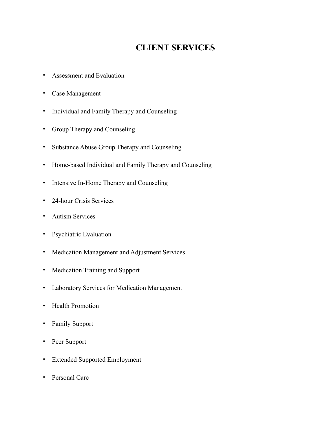# **CLIENT SERVICES**

- Assessment and Evaluation
- Case Management
- Individual and Family Therapy and Counseling
- Group Therapy and Counseling
- Substance Abuse Group Therapy and Counseling
- Home-based Individual and Family Therapy and Counseling
- Intensive In-Home Therapy and Counseling
- 24-hour Crisis Services
- Autism Services
- Psychiatric Evaluation
- Medication Management and Adjustment Services
- Medication Training and Support
- Laboratory Services for Medication Management
- Health Promotion
- Family Support
- Peer Support
- Extended Supported Employment
- Personal Care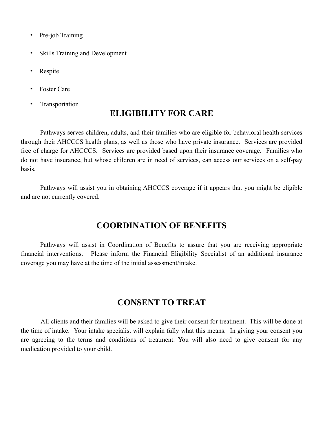- Pre-job Training
- Skills Training and Development
- **Respite**
- **Foster Care**
- **Transportation**

# **ELIGIBILITY FOR CARE**

Pathways serves children, adults, and their families who are eligible for behavioral health services through their AHCCCS health plans, as well as those who have private insurance. Services are provided free of charge for AHCCCS. Services are provided based upon their insurance coverage. Families who do not have insurance, but whose children are in need of services, can access our services on a self-pay basis.

Pathways will assist you in obtaining AHCCCS coverage if it appears that you might be eligible and are not currently covered.

## **COORDINATION OF BENEFITS**

Pathways will assist in Coordination of Benefits to assure that you are receiving appropriate financial interventions. Please inform the Financial Eligibility Specialist of an additional insurance coverage you may have at the time of the initial assessment/intake.

### **CONSENT TO TREAT**

All clients and their families will be asked to give their consent for treatment. This will be done at the time of intake. Your intake specialist will explain fully what this means. In giving your consent you are agreeing to the terms and conditions of treatment. You will also need to give consent for any medication provided to your child.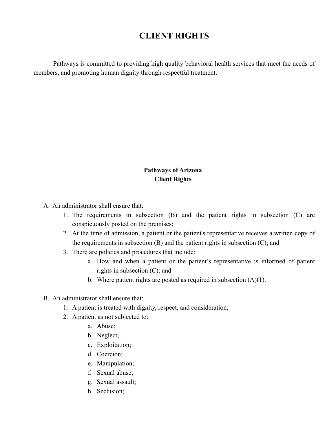# **CLIENT RIGHTS**

Pathways is committed to providing high quality behavioral health services that meet the needs of members, and promoting human dignity through respectful treatment.

#### **Pathways of Arizona Client Rights**

A. An administrator shall ensure that:

- 1. The requirements in subsection (B) and the patient rights in subsection (C) are conspicuously posted on the premises;
- 2. At the time of admission, a patient or the patient's representative receives a written copy of the requirements in subsection (B) and the patient rights in subsection (C); and
- 3. There are policies and procedures that include:
	- a. How and when a patient or the patient's representative is informed of patient rights in subsection (C); and
	- b. Where patient rights are posted as required in subsection  $(A)(1)$ .
- B. An administrator shall ensure that:
	- 1. A patient is treated with dignity, respect, and consideration;
	- 2. A patient as not subjected to:
		- a. Abuse;
		- b. Neglect;
		- c. Exploitation;
		- d. Coercion;
		- e. Manipulation;
		- f. Sexual abuse;
		- g. Sexual assault;
		- h. Seclusion;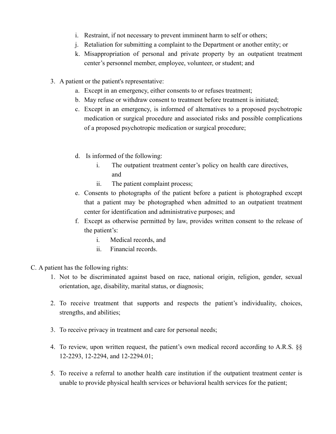- i. Restraint, if not necessary to prevent imminent harm to self or others;
- j. Retaliation for submitting a complaint to the Department or another entity; or
- k. Misappropriation of personal and private property by an outpatient treatment center's personnel member, employee, volunteer, or student; and
- 3. A patient or the patient's representative:
	- a. Except in an emergency, either consents to or refuses treatment;
	- b. May refuse or withdraw consent to treatment before treatment is initiated;
	- c. Except in an emergency, is informed of alternatives to a proposed psychotropic medication or surgical procedure and associated risks and possible complications of a proposed psychotropic medication or surgical procedure;
	- d. Is informed of the following:
		- i. The outpatient treatment center's policy on health care directives, and
		- ii. The patient complaint process;
	- e. Consents to photographs of the patient before a patient is photographed except that a patient may be photographed when admitted to an outpatient treatment center for identification and administrative purposes; and
	- f. Except as otherwise permitted by law, provides written consent to the release of the patient's:
		- i. Medical records, and
		- ii. Financial records.
- C. A patient has the following rights:
	- 1. Not to be discriminated against based on race, national origin, religion, gender, sexual orientation, age, disability, marital status, or diagnosis;
	- 2. To receive treatment that supports and respects the patient's individuality, choices, strengths, and abilities;
	- 3. To receive privacy in treatment and care for personal needs;
	- 4. To review, upon written request, the patient's own medical record according to A.R.S. §§ 12-2293, 12-2294, and 12-2294.01;
	- 5. To receive a referral to another health care institution if the outpatient treatment center is unable to provide physical health services or behavioral health services for the patient;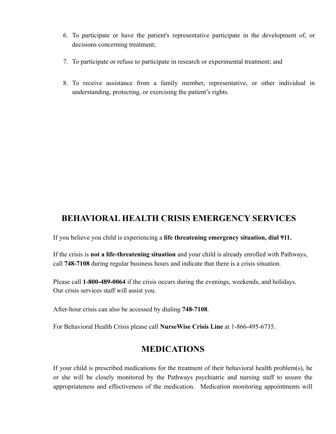- 6. To participate or have the patient's representative participate in the development of, or decisions concerning treatment;
- 7. To participate or refuse to participate in research or experimental treatment; and
- 8. To receive assistance from a family member, representative, or other individual in understanding, protecting, or exercising the patient's rights.

# **BEHAVIORAL HEALTH CRISIS EMERGENCY SERVICES**

If you believe you child is experiencing a **life threatening emergency situation, dial 911.**

If the crisis is **not a life-threatening situation** and your child is already enrolled with Pathways, call **748-7108** during regular business hours and indicate that there is a crisis situation.

Please call **1-800-489-0064** if the crisis occurs during the evenings, weekends, and holidays. Our crisis services staff will assist you.

After-hour crisis can also be accessed by dialing **748-7108**.

For Behavioral Health Crisis please call **NurseWise Crisis Line** at 1-866-495-6735.

# **MEDICATIONS**

If your child is prescribed medications for the treatment of their behavioral health problem(s), he or she will be closely monitored by the Pathways psychiatric and nursing staff to assure the appropriateness and effectiveness of the medication. Medication monitoring appointments will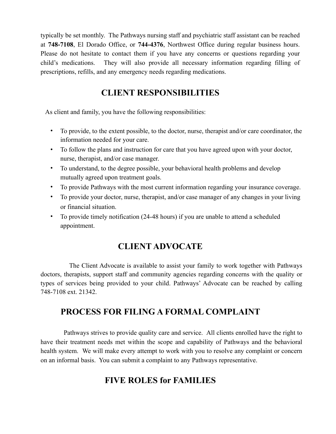typically be set monthly. The Pathways nursing staff and psychiatric staff assistant can be reached at **748-7108**, El Dorado Office, or **744-4376**, Northwest Office during regular business hours. Please do not hesitate to contact them if you have any concerns or questions regarding your child's medications. They will also provide all necessary information regarding filling of prescriptions, refills, and any emergency needs regarding medications.

# **CLIENT RESPONSIBILITIES**

As client and family, you have the following responsibilities:

- To provide, to the extent possible, to the doctor, nurse, therapist and/or care coordinator, the information needed for your care.
- To follow the plans and instruction for care that you have agreed upon with your doctor, nurse, therapist, and/or case manager.
- To understand, to the degree possible, your behavioral health problems and develop mutually agreed upon treatment goals.
- To provide Pathways with the most current information regarding your insurance coverage.
- To provide your doctor, nurse, therapist, and/or case manager of any changes in your living or financial situation.
- To provide timely notification (24-48 hours) if you are unable to attend a scheduled appointment.

# **CLIENT ADVOCATE**

 The Client Advocate is available to assist your family to work together with Pathways doctors, therapists, support staff and community agencies regarding concerns with the quality or types of services being provided to your child. Pathways' Advocate can be reached by calling 748-7108 ext. 21342.

# **PROCESS FOR FILING A FORMAL COMPLAINT**

 Pathways strives to provide quality care and service. All clients enrolled have the right to have their treatment needs met within the scope and capability of Pathways and the behavioral health system. We will make every attempt to work with you to resolve any complaint or concern on an informal basis. You can submit a complaint to any Pathways representative.

# **FIVE ROLES for FAMILIES**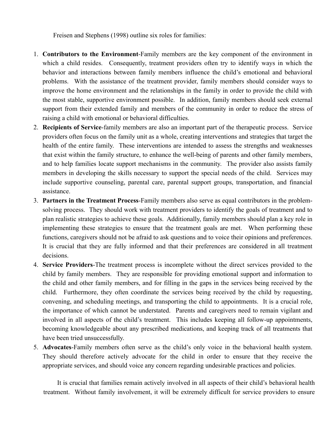Freisen and Stephens (1998) outline six roles for families:

- 1. **Contributors to the Environment**-Family members are the key component of the environment in which a child resides. Consequently, treatment providers often try to identify ways in which the behavior and interactions between family members influence the child's emotional and behavioral problems. With the assistance of the treatment provider, family members should consider ways to improve the home environment and the relationships in the family in order to provide the child with the most stable, supportive environment possible. In addition, family members should seek external support from their extended family and members of the community in order to reduce the stress of raising a child with emotional or behavioral difficulties.
- 2. **Recipients of Service**-family members are also an important part of the therapeutic process. Service providers often focus on the family unit as a whole, creating interventions and strategies that target the health of the entire family. These interventions are intended to assess the strengths and weaknesses that exist within the family structure, to enhance the well-being of parents and other family members, and to help families locate support mechanisms in the community. The provider also assists family members in developing the skills necessary to support the special needs of the child. Services may include supportive counseling, parental care, parental support groups, transportation, and financial assistance.
- 3. **Partners in the Treatment Process**-Family members also serve as equal contributors in the problemsolving process. They should work with treatment providers to identify the goals of treatment and to plan realistic strategies to achieve these goals. Additionally, family members should plan a key role in implementing these strategies to ensure that the treatment goals are met. When performing these functions, caregivers should not be afraid to ask questions and to voice their opinions and preferences. It is crucial that they are fully informed and that their preferences are considered in all treatment decisions.
- 4. **Service Providers**-The treatment process is incomplete without the direct services provided to the child by family members. They are responsible for providing emotional support and information to the child and other family members, and for filling in the gaps in the services being received by the child. Furthermore, they often coordinate the services being received by the child by requesting, convening, and scheduling meetings, and transporting the child to appointments. It is a crucial role, the importance of which cannot be understated. Parents and caregivers need to remain vigilant and involved in all aspects of the child's treatment. This includes keeping all follow-up appointments, becoming knowledgeable about any prescribed medications, and keeping track of all treatments that have been tried unsuccessfully.
- 5. **Advocates**-Family members often serve as the child's only voice in the behavioral health system. They should therefore actively advocate for the child in order to ensure that they receive the appropriate services, and should voice any concern regarding undesirable practices and policies.

 It is crucial that families remain actively involved in all aspects of their child's behavioral health treatment. Without family involvement, it will be extremely difficult for service providers to ensure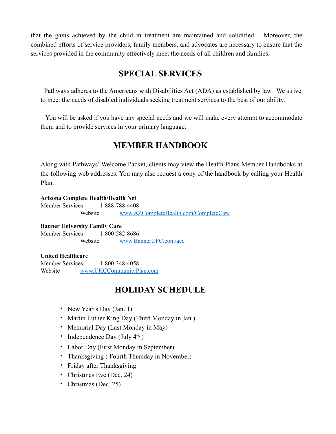that the gains achieved by the child in treatment are maintained and solidified. Moreover, the combined efforts of service providers, family members, and advocates are necessary to ensure that the services provided in the community effectively meet the needs of all children and families.

### **SPECIAL SERVICES**

 Pathways adheres to the Americans with Disabilities Act (ADA) as established by law. We strive to meet the needs of disabled individuals seeking treatment services to the best of our ability.

 You will be asked if you have any special needs and we will make every attempt to accommodate them and to provide services in your primary language.

### **MEMBER HANDBOOK**

Along with Pathways' Welcome Packet, clients may view the Health Plans Member Handbooks at the following web addresses. You may also request a copy of the handbook by calling your Health Plan.

#### **Arizona Complete Health/Health Net**

 Member Services 1-888-788-4408 Website [www.AZCompleteHealth.com/CompleteCare](http://www.AZCompleteHealth.com/CompleteCare)

**Banner University Family Care**

 Member Services 1-800-582-8686 Website [www.BannerUFC.com/acc](http://www.BannerUFC.com/acc)

#### **United Healthcare**

 Member Services 1-800-348-4058 Website [www.UHCCommunityPlan.com](http://www.UHCCommunityPlan.com)

# **HOLIDAY SCHEDULE**

- New Year's Day (Jan. 1)
- Martin Luther King Day (Third Monday in Jan.)
- Memorial Day (Last Monday in May)
- Independence Day (July  $4<sup>th</sup>$ )
- Labor Day (First Monday in September)
- Thanksgiving ( Fourth Thursday in November)
- Friday after Thanksgiving
- Christmas Eve (Dec. 24)
- Christmas (Dec. 25)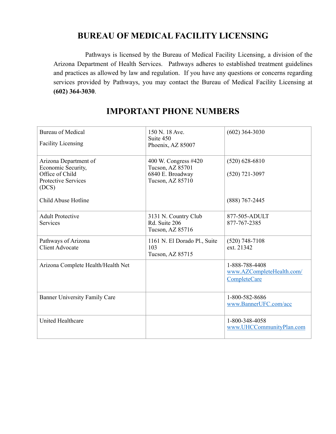# **BUREAU OF MEDICAL FACILITY LICENSING**

 Pathways is licensed by the Bureau of Medical Facility Licensing, a division of the Arizona Department of Health Services. Pathways adheres to established treatment guidelines and practices as allowed by law and regulation. If you have any questions or concerns regarding services provided by Pathways, you may contact the Bureau of Medical Facility Licensing at **(602) 364-3030**.

| <b>Bureau of Medical</b><br><b>Facility Licensing</b>                                                 | 150 N. 18 Ave.<br>Suite 450<br>Phoenix, AZ 85007                                 | $(602)$ 364-3030                                                   |
|-------------------------------------------------------------------------------------------------------|----------------------------------------------------------------------------------|--------------------------------------------------------------------|
| Arizona Department of<br>Economic Security,<br>Office of Child<br><b>Protective Services</b><br>(DCS) | 400 W. Congress #420<br>Tucson, AZ 85701<br>6840 E. Broadway<br>Tucson, AZ 85710 | $(520)$ 628-6810<br>$(520)$ 721-3097                               |
| Child Abuse Hotline                                                                                   |                                                                                  | $(888)$ 767-2445                                                   |
| <b>Adult Protective</b><br><b>Services</b>                                                            | 3131 N. Country Club<br>Rd. Suite 206<br>Tucson, AZ 85716                        | 877-505-ADULT<br>877-767-2385                                      |
| Pathways of Arizona<br><b>Client Advocate</b>                                                         | 1161 N. El Dorado Pl., Suite<br>103<br>Tucson, AZ 85715                          | $(520)$ 748-7108<br>ext. 21342                                     |
| Arizona Complete Health/Health Net                                                                    |                                                                                  | 1-888-788-4408<br>www.AZCompleteHealth.com/<br><b>CompleteCare</b> |
| <b>Banner University Family Care</b>                                                                  |                                                                                  | 1-800-582-8686<br>www.BannerUFC.com/acc                            |
| <b>United Healthcare</b>                                                                              |                                                                                  | 1-800-348-4058<br>www.UHCCommunityPlan.com                         |

# **IMPORTANT PHONE NUMBERS**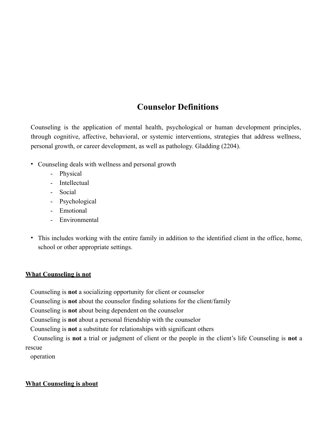# **Counselor Definitions**

Counseling is the application of mental health, psychological or human development principles, through cognitive, affective, behavioral, or systemic interventions, strategies that address wellness, personal growth, or career development, as well as pathology. Gladding (2204).

- Counseling deals with wellness and personal growth
	- Physical
	- Intellectual
	- Social
	- Psychological
	- Emotional
	- Environmental
- This includes working with the entire family in addition to the identified client in the office, home, school or other appropriate settings.

#### **What Counseling is not**

Counseling is **not** a socializing opportunity for client or counselor

Counseling is **not** about the counselor finding solutions for the client/family

Counseling is **not** about being dependent on the counselor

Counseling is **not** about a personal friendship with the counselor

Counseling is **not** a substitute for relationships with significant others

 Counseling is **not** a trial or judgment of client or the people in the client's life Counseling is **not** a rescue

operation

#### **What Counseling is about**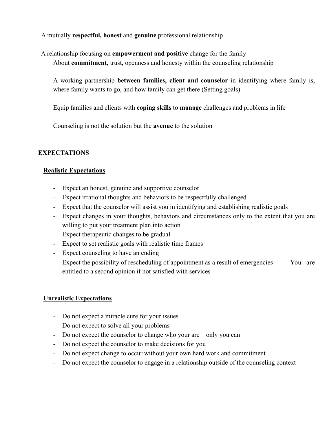A mutually **respectful, honest** and **genuine** professional relationship

 A relationship focusing on **empowerment and positive** change for the family About **commitment**, trust, openness and honesty within the counseling relationship

A working partnership **between families, client and counselor** in identifying where family is, where family wants to go, and how family can get there (Setting goals)

Equip families and clients with **coping skills** to **manage** challenges and problems in life

Counseling is not the solution but the **avenue** to the solution

#### **EXPECTATIONS**

#### **Realistic Expectations**

- Expect an honest, genuine and supportive counselor
- Expect irrational thoughts and behaviors to be respectfully challenged
- Expect that the counselor will assist you in identifying and establishing realistic goals
- Expect changes in your thoughts, behaviors and circumstances only to the extent that you are willing to put your treatment plan into action
- Expect therapeutic changes to be gradual
- Expect to set realistic goals with realistic time frames
- Expect counseling to have an ending
- Expect the possibility of rescheduling of appointment as a result of emergencies You are entitled to a second opinion if not satisfied with services

#### **Unrealistic Expectations**

- Do not expect a miracle cure for your issues
- Do not expect to solve all your problems
- Do not expect the counselor to change who your are only you can
- Do not expect the counselor to make decisions for you
- Do not expect change to occur without your own hard work and commitment
- Do not expect the counselor to engage in a relationship outside of the counseling context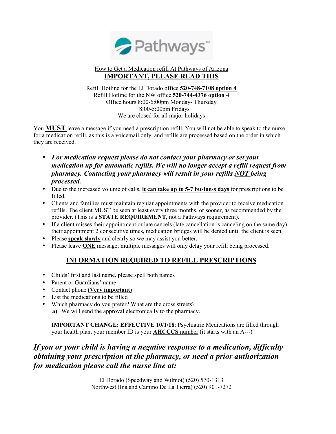

#### How to Get a Medication refill At Pathways of Arizona **IMPORTANT, PLEASE READ THIS**

Refill Hotline for the El Dorado office **520-748-7108 option 4** Refill Hotline for the NW office **520-744-4376 option 4** Office hours 8:00-6:00pm Monday- Thursday 8:00-5:00pm Fridays We are closed for all major holidays

You **MUST** leave a message if you need a prescription refill. You will not be able to speak to the nurse for a medication refill, as this is a voicemail only, and refills are processed based on the order in which they are received.

- *For medication request please do not contact your pharmacy or set your medication up for automatic refills. We will no longer accept a refill request from pharmacy. Contacting your pharmacy will result in your refills NOT being processed.*
- Due to the increased volume of calls, **it can take up to 5-7 business days** for prescriptions to be filled.
- Clients and families must maintain regular appointments with the provider to receive medication refills. The client MUST be seen at least every three months, or sooner, as recommended by the provider. (This is a **STATE REQUIREMENT**, not a Pathways requirement).
- If a client misses their appointment or late cancels (late cancellation is canceling on the same day) their appointment 2 consecutive times, medication bridges will be denied until the client is seen.
- Please **speak slowly** and clearly so we may assist you better.
- Please leave **ONE** message; multiple messages will only delay your refill being processed.

### **INFORMATION REQUIRED TO REFILL PRESCRIPTIONS**

- Childs' first and last name. please spell both names
- Parent or Guardians' name
- Contact phone **(Very important)**
- List the medications to be filled
- Which pharmacy do you prefer? What are the cross streets? **a)** We will send the approval electronically to the pharmacy.

**IMPORTANT CHANGE: EFFECTIVE 10/1/18**: Psychiatric Medications are filled through your health plan, your member ID is your **AHCCCS** number (it starts with an A---)

### *If you or your child is having a negative response to a medication, difficulty obtaining your prescription at the pharmacy, or need a prior authorization for medication please call the nurse line at:*

El Dorado (Speedway and Wilmot) (520) 570-1313 Northwest (Ina and Camino De La Tierra) (520) 901-7272